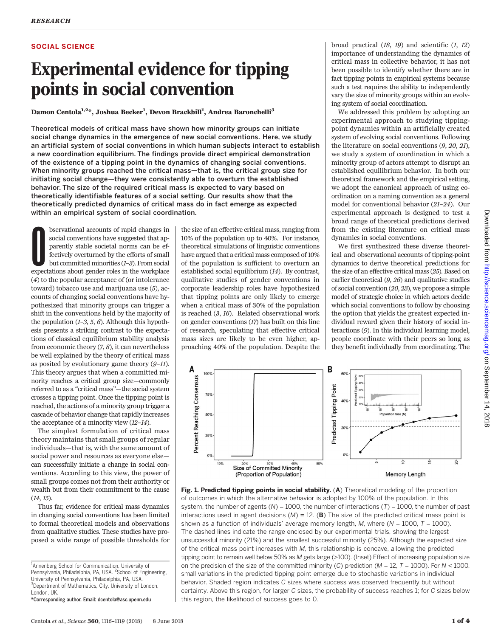## SOCIAL SCIENCE

# Experimental evidence for tipping points in social convention

Damon Centola $^{1,2\ast},$  Joshua Becker $^1,$  Devon Brackbill $^1,$  Andrea Baronchelli $^3$ 

Theoretical models of critical mass have shown how minority groups can initiate social change dynamics in the emergence of new social conventions. Here, we study an artificial system of social conventions in which human subjects interact to establish a new coordination equilibrium. The findings provide direct empirical demonstration of the existence of a tipping point in the dynamics of changing social conventions. When minority groups reached the critical mass—that is, the critical group size for initiating social change—they were consistently able to overturn the established behavior. The size of the required critical mass is expected to vary based on theoretically identifiable features of a social setting. Our results show that the theoretically predicted dynamics of critical mass do in fact emerge as expected within an empirical system of social coordination.

bservational accounts of rapid changes in social conventions have suggested that apparently stable societal norms can be effectively overturned by the efforts of small but committed minorities (*1–3*). From social expectat bservational accounts of rapid changes in social conventions have suggested that apparently stable societal norms can be effectively overturned by the efforts of small but committed minorities (1–3). From social (4) to the popular acceptance of (or intolerance toward) tobacco use and marijuana use (5), accounts of changing social conventions have hypothesized that minority groups can trigger a shift in the conventions held by the majority of the population  $(1-3, 5, 6)$ . Although this hypothesis presents a striking contrast to the expectations of classical equilibrium stability analysis from economic theory  $(7, 8)$ , it can nevertheless be well explained by the theory of critical mass as posited by evolutionary game theory  $(9-11)$ . This theory argues that when a committed minority reaches a critical group size—commonly referred to as a "critical mass"—the social system crosses a tipping point. Once the tipping point is reached, the actions of a minority group trigger a cascade of behavior change that rapidly increases the acceptance of a minority view (12–14).

The simplest formulation of critical mass theory maintains that small groups of regular individuals—that is, with the same amount of social power and resources as everyone else can successfully initiate a change in social conventions. According to this view, the power of small groups comes not from their authority or wealth but from their commitment to the cause  $(14, 15)$ .

Thus far, evidence for critical mass dynamics in changing social conventions has been limited to formal theoretical models and observations from qualitative studies. These studies have proposed a wide range of possible thresholds for

the size of an effective critical mass, ranging from 10% of the population up to 40%. For instance, theoretical simulations of linguistic conventions have argued that a critical mass composed of 10% of the population is sufficient to overturn an established social equilibrium (14). By contrast, qualitative studies of gender conventions in corporate leadership roles have hypothesized that tipping points are only likely to emerge when a critical mass of 30% of the population is reached (3, 16). Related observational work on gender conventions (17) has built on this line of research, speculating that effective critical mass sizes are likely to be even higher, approaching 40% of the population. Despite the broad practical (18, 19) and scientific (1, 12) importance of understanding the dynamics of critical mass in collective behavior, it has not been possible to identify whether there are in fact tipping points in empirical systems because such a test requires the ability to independently vary the size of minority groups within an evolving system of social coordination.

We addressed this problem by adopting an experimental approach to studying tippingpoint dynamics within an artificially created system of evolving social conventions. Following the literature on social conventions (9, 20, 21), we study a system of coordination in which a minority group of actors attempt to disrupt an established equilibrium behavior. In both our theoretical framework and the empirical setting, we adopt the canonical approach of using coordination on a naming convention as a general model for conventional behavior (21–24). Our experimental approach is designed to test a broad range of theoretical predictions derived from the existing literature on critical mass dynamics in social conventions.

We first synthesized these diverse theoretical and observational accounts of tipping-point dynamics to derive theoretical predictions for the size of an effective critical mass (25). Based on earlier theoretical (9, 26) and qualitative studies of social convention (20, 23), we propose a simple model of strategic choice in which actors decide which social conventions to follow by choosing the option that yields the greatest expected individual reward given their history of social interactions (9). In this individual learning model, people coordinate with their peers so long as they benefit individually from coordinating. The





Fig. 1. Predicted tipping points in social stability. (A) Theoretical modeling of the proportion of outcomes in which the alternative behavior is adopted by 100% of the population. In this system, the number of agents ( $N$ ) = 1000, the number of interactions ( $T$ ) = 1000, the number of past interactions used in agent decisions  $(M) = 12$ . (B) The size of the predicted critical mass point is shown as a function of individuals' average memory length, M, where ( $N = 1000$ ,  $T = 1000$ ). The dashed lines indicate the range enclosed by our experimental trials, showing the largest unsuccessful minority (21%) and the smallest successful minority (25%). Although the expected size of the critical mass point increases with M, this relationship is concave, allowing the predicted tipping point to remain well below 50% as M gets large (>100). (Inset) Effect of increasing population size on the precision of the size of the committed minority (C) prediction ( $M = 12$ ,  $T = 1000$ ). For  $N < 1000$ , small variations in the predicted tipping point emerge due to stochastic variations in individual behavior. Shaded region indicates C sizes where success was observed frequently but without certainty. Above this region, for larger C sizes, the probability of success reaches 1; for C sizes below this region, the likelihood of success goes to 0.

<sup>&</sup>lt;sup>1</sup> Annenberg School for Communication, University of Pennsylvania, Philadelphia, PA, USA. <sup>2</sup>School of Engineering, University of Pennsylvania, Philadelphia, PA, USA. <sup>3</sup>Department of Mathematics, City, University of London, London, UK.

<sup>\*</sup>Corresponding author. Email: dcentola@asc.upenn.edu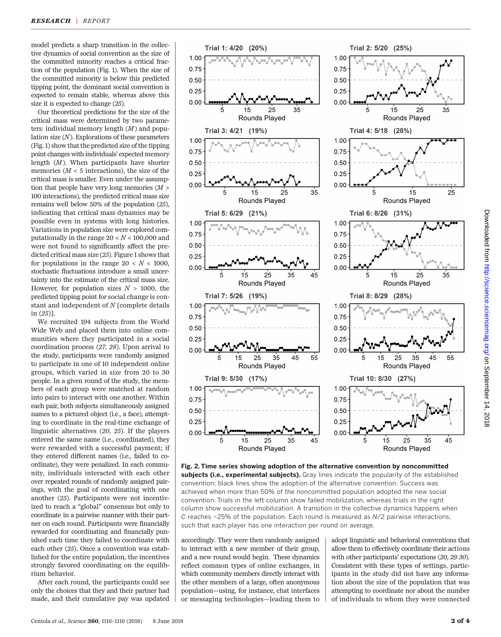model predicts a sharp transition in the collective dynamics of social convention as the size of the committed minority reaches a critical fraction of the population (Fig. 1). When the size of the committed minority is below this predicted tipping point, the dominant social convention is expected to remain stable, whereas above this size it is expected to change (25).

Our theoretical predictions for the size of the critical mass were determined by two parameters: individual memory length  $(M)$  and population size  $(N)$ . Explorations of these parameters (Fig. 1) show that the predicted size of the tipping point changes with individuals' expected memory length  $(M)$ . When participants have shorter memories ( $M < 5$  interactions), the size of the critical mass is smaller. Even under the assumption that people have very long memories  $(M >$ 100 interactions), the predicted critical mass size remains well below 50% of the population (25), indicating that critical mass dynamics may be possible even in systems with long histories. Variations in population size were explored computationally in the range  $20 < N < 100,000$  and were not found to significantly affect the predicted critical mass size (25). Figure 1 shows that for populations in the range  $20 < N < 1000$ , stochastic fluctuations introduce a small uncertainty into the estimate of the critical mass size. However, for population sizes  $N > 1000$ , the predicted tipping point for social change is constant and independent of  $N$  [complete details in (25)].

We recruited 194 subjects from the World Wide Web and placed them into online communities where they participated in a social coordination process (27, 28). Upon arrival to the study, participants were randomly assigned to participate in one of 10 independent online groups, which varied in size from 20 to 30 people. In a given round of the study, the members of each group were matched at random into pairs to interact with one another. Within each pair, both subjects simultaneously assigned names to a pictured object (i.e., a face), attempting to coordinate in the real-time exchange of linguistic alternatives (20, 25). If the players entered the same name (i.e., coordinated), they were rewarded with a successful payment; if they entered different names (i.e., failed to coordinate), they were penalized. In each community, individuals interacted with each other over repeated rounds of randomly assigned pairings, with the goal of coordinating with one another (25). Participants were not incentivized to reach a "global" consensus but only to coordinate in a pairwise manner with their partner on each round. Participants were financially rewarded for coordinating and financially punished each time they failed to coordinate with each other (25). Once a convention was established for the entire population, the incentives strongly favored coordinating on the equilibrium behavior.

After each round, the participants could see only the choices that they and their partner had made, and their cumulative pay was updated



Fig. 2. Time series showing adoption of the alternative convention by noncommitted subjects (i.e., experimental subjects). Gray lines indicate the popularity of the established convention; black lines show the adoption of the alternative convention. Success was achieved when more than 50% of the noncommitted population adopted the new social convention. Trials in the left column show failed mobilization, whereas trials in the right column show successful mobilization. A transition in the collective dynamics happens when C reaches ~25% of the population. Each round is measured as N/2 pairwise interactions, such that each player has one interaction per round on average.

accordingly. They were then randomly assigned to interact with a new member of their group, and a new round would begin. These dynamics reflect common types of online exchanges, in which community members directly interact with the other members of a large, often anonymous population—using, for instance, chat interfaces or messaging technologies—leading them to adopt linguistic and behavioral conventions that allow them to effectively coordinate their actions with other participants' expectations (20, 29 30). Consistent with these types of settings, participants in the study did not have any information about the size of the population that was attempting to coordinate nor about the number of individuals to whom they were connected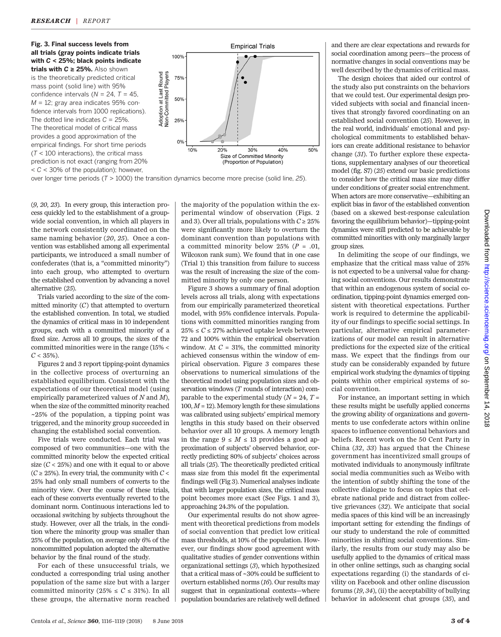### Fig. 3. Final success levels from all trials (gray points indicate trials with C < 25%; black points indicate trials with  $C \geq 25\%$ . Also shown is the theoretically predicted critical mass point (solid line) with 95% confidence intervals ( $N = 24$ ,  $T = 45$ ,  $M = 12$ ; gray area indicates 95% confidence intervals from 1000 replications). The dotted line indicates  $C = 25\%$ . The theoretical model of critical mass provides a good approximation of the empirical findings. For short time periods  $(T < 100$  interactions), the critical mass prediction is not exact (ranging from 20%  $< C < 30\%$  of the population); however,



over longer time periods ( $T > 1000$ ) the transition dynamics become more precise (solid line, 25).

(9, 20, 23). In every group, this interaction process quickly led to the establishment of a groupwide social convention, in which all players in the network consistently coordinated on the same naming behavior (20, 25). Once a convention was established among all experimental participants, we introduced a small number of confederates (that is, a "committed minority") into each group, who attempted to overturn the established convention by advancing a novel alternative (25).

Trials varied according to the size of the committed minority  $(C)$  that attempted to overturn the established convention. In total, we studied the dynamics of critical mass in 10 independent groups, each with a committed minority of a fixed size. Across all 10 groups, the sizes of the committed minorities were in the range (15% <  $C < 35\%$ ).

Figures 2 and 3 report tipping-point dynamics in the collective process of overturning an established equilibrium. Consistent with the expectations of our theoretical model (using empirically parameterized values of  $N$  and  $M$ ), when the size of the committed minority reached  $\sim$ 25% of the population, a tipping point was triggered, and the minority group succeeded in changing the established social convention.

Five trials were conducted. Each trial was composed of two communities—one with the committed minority below the expected critical size  $(C < 25\%)$  and one with it equal to or above  $(C \geq 25\%)$ . In every trial, the community with  $C <$ 25% had only small numbers of converts to the minority view. Over the course of these trials, each of these converts eventually reverted to the dominant norm. Continuous interactions led to occasional switching by subjects throughout the study. However, over all the trials, in the condition where the minority group was smaller than 25% of the population, on average only 6% of the noncommitted population adopted the alternative behavior by the final round of the study.

For each of these unsuccessful trials, we conducted a corresponding trial using another population of the same size but with a larger committed minority (25%  $\leq C \leq 31$ %). In all these groups, the alternative norm reached the majority of the population within the experimental window of observation (Figs. 2 and 3). Over all trials, populations with  $C \ge 25\%$ were significantly more likely to overturn the dominant convention than populations with a committed minority below 25% ( $P = .01$ , Wilcoxon rank sum). We found that in one case (Trial 1) this transition from failure to success was the result of increasing the size of the committed minority by only one person.

Figure 3 shows a summary of final adoption levels across all trials, along with expectations from our empirically parameterized theoretical model, with 95% confidence intervals. Populations with committed minorities ranging from  $25\% \leq C \leq 27\%$  achieved uptake levels between 72 and 100% within the empirical observation window. At  $C = 31\%$ , the committed minority achieved consensus within the window of empirical observation. Figure 3 compares these observations to numerical simulations of the theoretical model using population sizes and observation windows  $(T$  rounds of interaction) comparable to the experimental study ( $N = 24$ ,  $T =$  $100, M = 12$ ). Memory length for these simulations was calibrated using subjects' empirical memory lengths in this study based on their observed behavior over all 10 groups. A memory length in the range  $9 \leq M \leq 13$  provides a good approximation of subjects' observed behavior, correctly predicting 80% of subjects' choices across all trials (25). The theoretically predicted critical mass size from this model fit the experimental findings well (Fig 3). Numerical analyses indicate that with larger population sizes, the critical mass point becomes more exact (See Figs. 1 and 3), approaching 24.3% of the population.

Our experimental results do not show agreement with theoretical predictions from models of social convention that predict low critical mass thresholds, at 10% of the population. However, our findings show good agreement with qualitative studies of gender conventions within organizational settings (3), which hypothesized that a critical mass of ~30% could be sufficient to overturn established norms (16). Our results may suggest that in organizational contexts—where population boundaries are relatively well defined and there are clear expectations and rewards for social coordination among peers—the process of normative changes in social conventions may be well described by the dynamics of critical mass.

The design choices that aided our control of the study also put constraints on the behaviors that we could test. Our experimental design provided subjects with social and financial incentives that strongly favored coordinating on an established social convention (25). However, in the real world, individuals' emotional and psychological commitments to established behaviors can create additional resistance to behavior change (31). To further explore these expectations, supplementary analyses of our theoretical model (fig. S7) (25) extend our basic predictions to consider how the critical mass size may differ under conditions of greater social entrenchment. When actors are more conservative—exhibiting an explicit bias in favor of the established convention (based on a skewed best-response calculation favoring the equilibrium behavior)—tipping-point dynamics were still predicted to be achievable by committed minorities with only marginally larger group sizes.

In delimiting the scope of our findings, we emphasize that the critical mass value of 25% is not expected to be a universal value for changing social conventions. Our results demonstrate that within an endogenous system of social coordination, tipping-point dynamics emerged consistent with theoretical expectations. Further work is required to determine the applicability of our findings to specific social settings. In particular, alternative empirical parameterizations of our model can result in alternative predictions for the expected size of the critical mass. We expect that the findings from our study can be considerably expanded by future empirical work studying the dynamics of tipping points within other empirical systems of social convention.

For instance, an important setting in which these results might be usefully applied concerns the growing ability of organizations and governments to use confederate actors within online spaces to influence conventional behaviors and beliefs. Recent work on the 50 Cent Party in China (32, 33) has argued that the Chinese government has incentivized small groups of motivated individuals to anonymously infiltrate social media communities such as Weibo with the intention of subtly shifting the tone of the collective dialogue to focus on topics that celebrate national pride and distract from collective grievances (32). We anticipate that social media spaces of this kind will be an increasingly important setting for extending the findings of our study to understand the role of committed minorities in shifting social conventions. Similarly, the results from our study may also be usefully applied to the dynamics of critical mass in other online settings, such as changing social expectations regarding (i) the standards of civility on Facebook and other online discussion forums (19, 34), (ii) the acceptability of bullying behavior in adolescent chat groups (35), and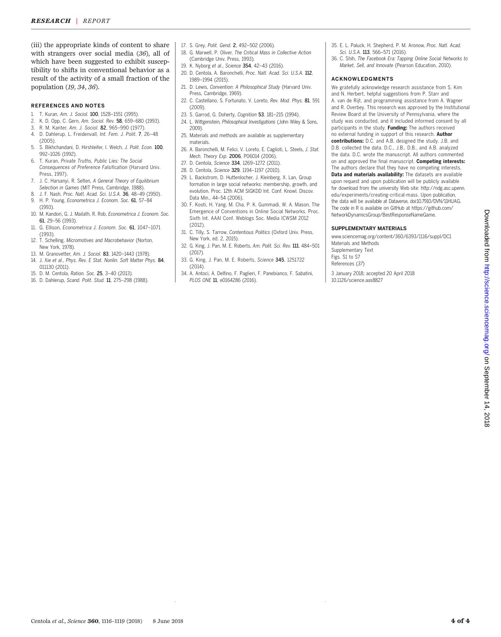(iii) the appropriate kinds of content to share with strangers over social media (36), all of which have been suggested to exhibit susceptibility to shifts in conventional behavior as a result of the activity of a small fraction of the population (19, 34, 36).

#### REFERENCES AND NOTES

- T. Kuran, Am. J. Sociol. 100, 1528-1551 (1995).
- 2. K. D. Opp, C. Gern, Am. Sociol. Rev. 58, 659–680 (1993).
- 3. R. M. Kanter, Am. J. Sociol. 82, 965–990 (1977).
- 4. D. Dahlerup, L. Freidenvall, Int. Fem. J. Polit. 7, 26–48 (2005).
- 5. S. Bikhchandani, D. Hirshleifer, I. Welch, J. Polit. Econ. 100. 992–1026 (1992).
- 6. T. Kuran, Private Truths, Public Lies: The Social Consequences of Preference Falsification (Harvard Univ. Press, 1997).
- 7. J. C. Harsanyi, R. Selten, A General Theory of Equilibrium Selection in Games (MIT Press, Cambridge, 1988).
- 8. J. F. Nash, Proc. Natl. Acad. Sci. U.S.A. 36, 48–49 (1950). 9. H. P. Young, Econometrica J. Econom. Soc. 61, 57-84
- (1993). 10. M. Kandori, G. J. Mailath, R. Rob, Econometrica J. Econom. Soc.
- 61, 29–56 (1993). 11. G. Ellison, Econometrica J. Econom. Soc. 61, 1047–1071
- (1993). 12. T. Schelling, Micromotives and Macrobehavior (Norton,
- New York, 1978). 13. M. Granovetter, Am. J. Sociol. 83, 1420–1443 (1978).
- 14. J. Xie et al., Phys. Rev. E Stat. Nonlin. Soft Matter Phys. 84,
- 011130 (2011). 15. D. M. Centola, Ration. Soc. 25, 3–40 (2013).
- 16. D. Dahlerup, Scand. Polit. Stud. 11, 275–298 (1988).

17. S. Grey, Polit. Gend. 2, 492–502 (2006).

(Cambridge Univ. Press, 1993). 19. K. Nyborg et al., Science 354, 42–43 (2016). 20. D. Centola, A. Baronchelli, Proc. Natl. Acad. Sci. U.S.A. 112,

1989–1994 (2015).

(2009).

2009).

materials.

(2012).

(2017).

(2014).

Press, Cambridge, 1969).

Data Min., 44–54 (2006).

New York, ed. 2, 2015).

PLOS ONE 11, e0164286 (2016).

18. G. Marwell, P. Oliver, The Critical Mass in Collective Action

21. D. Lewis, Convention: A Philosophical Study (Harvard Univ.

23. S. Garrod, G. Doherty, Cognition 53, 181–215 (1994). 24. L. Wittgenstein, Philosophical Investigations (John Wiley & Sons,

25. Materials and methods are available as supplementary

Mech. Theory Exp. 2006, P06014 (2006). 27. D. Centola, Science 334, 1269–1272 (2011). 28. D. Centola, Science 329, 1194–1197 (2010).

22. C. Castellano, S. Fortunato, V. Loreto, Rev. Mod. Phys. 81, 591

26. A. Baronchelli, M. Felici, V. Loreto, E. Caglioti, L. Steels, J. Stat.

29. L. Backstrom, D. Huttenlocher, J. Kleinberg, X. Lan, Group formation in large social networks: membership, growth, and evolution. Proc. 12th ACM SIGKDD Int. Conf. Knowl. Discov.

30. F. Kooti, H. Yang, M. Cha, P. K. Gummadi, W. A. Mason, The Emergence of Conventions in Online Social Networks. Proc. Sixth Int. AAAI Conf. Weblogs Soc. Media ICWSM 2012

31. C. Tilly, S. Tarrow, Contentious Politics (Oxford Univ. Press,

33. G. King, J. Pan, M. E. Roberts, Science 345, 1251722

34. A. Antoci, A. Delfino, F. Paglieri, F. Panebianco, F. Sabatini,

32. G. King, J. Pan, M. E. Roberts, Am. Polit. Sci. Rev. 111, 484–501

- 35. E. L. Paluck, H. Shepherd, P. M. Aronow, Proc. Natl. Acad. Sci. U.S.A. 113, 566-571 (2016).
- 36. C. Shih, The Facebook Era: Tapping Online Social Networks to Market, Sell, and Innovate (Pearson Education, 2010).

#### ACKNOWLEDGMENTS

We gratefully acknowledge research assistance from S. Kim and N. Herbert, helpful suggestions from P. Starr and A. van de Rijt, and programming assistance from A. Wagner and R. Overbey. This research was approved by the Institutional Review Board at the University of Pennsylvania, where the study was conducted, and it included informed consent by all participants in the study. Funding: The authors received no external funding in support of this research. Author contributions: D.C. and A.B. designed the study. J.B. and D.B. collected the data. D.C., J.B., D.B., and A.B. analyzed the data. D.C. wrote the manuscript. All authors commented on and approved the final manuscript. Competing interests: The authors declare that they have no competing interests. Data and materials availability: The datasets are available upon request and upon publication will be publicly available for download from the university Web site: [http://ndg.asc.upenn.](http://ndg.asc.upenn.edu/experiments/creating-critical-mass) [edu/experiments/creating-critical-mass](http://ndg.asc.upenn.edu/experiments/creating-critical-mass). Upon publication, the data will be available at Dataverse, doi[:10.7910/DVN/11HUAG.](10.7910/DVN/11HUAG) The code in R is available on GitHub at [https://github.com/](https://github.com/NetworkDynamicsGroup/BestResponseNameGame) [NetworkDynamicsGroup/BestResponseNameGame.](https://github.com/NetworkDynamicsGroup/BestResponseNameGame)

#### SUPPLEMENTARY MATERIALS

[www.sciencemag.org/content/360/6393/1116/suppl/DC1](http://www.sciencemag.org/content/360/6393/1116/suppl/DC1) Materials and Methods

Supplementary Text Figs. S1 to S7 References (37)

3 January 2018; accepted 20 April 2018 10.1126/science.aas8827